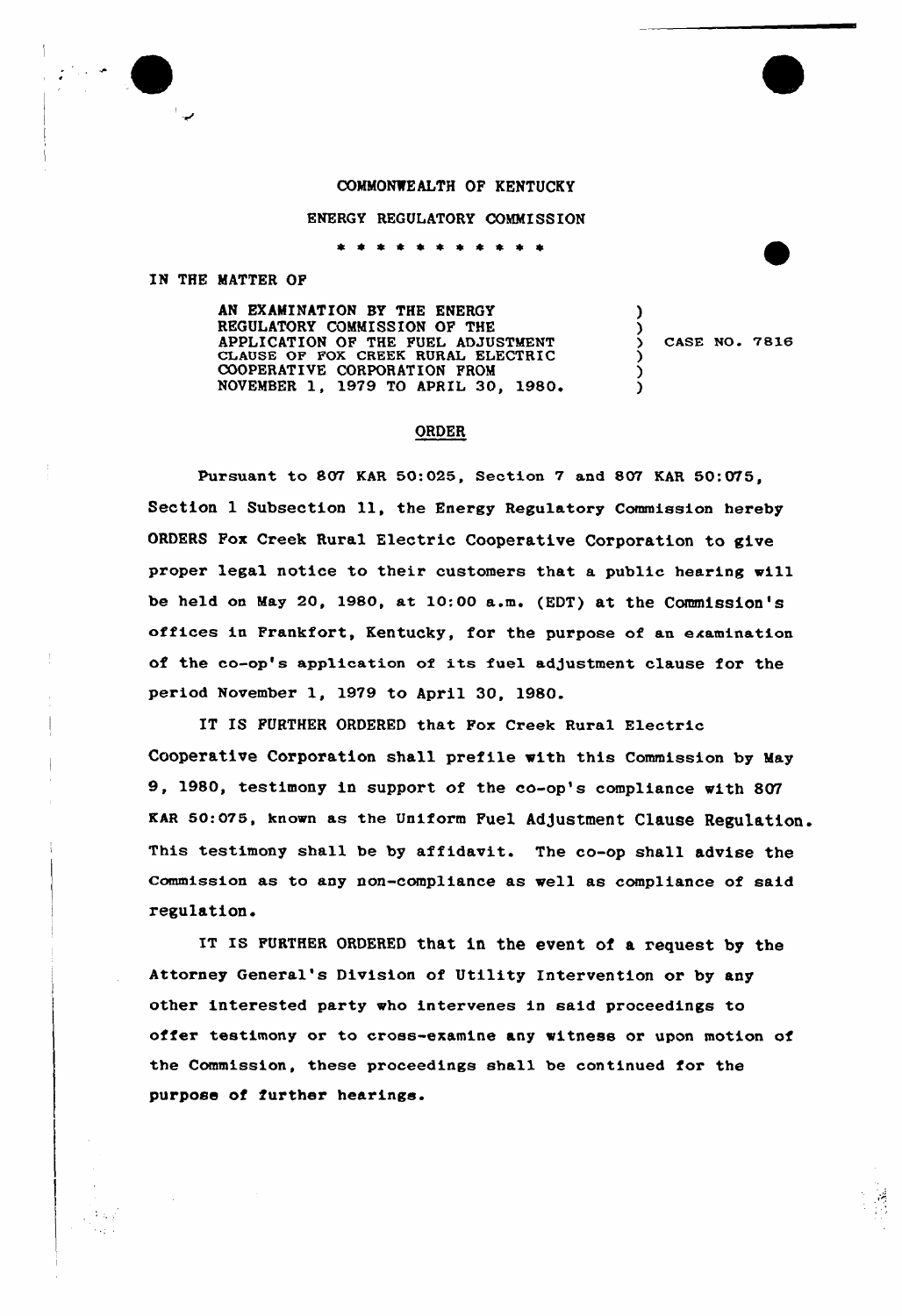## COMMONWEALTH OF KENTUCKY

ENERGY REGULATORY COMMISSION

\* \* \* \* \* \* *\* \** \* \*

## IN THE MATTER OP

 $\sim 100$  $\sim 10^{-11}$ 

AN EXAMINATION BY THE ENERGY REGULATORY COMMISSION OP THE APPLICATION OP THR PURL ADJUSTMENT CLAUSE OF FOX CREEK RURAL ELECTRIC COOPERATIVE CORPORATION FROM NOVEMBER 1, 1979 TO APRIL 30, 1980.

CASE NO. 7816

 $\overline{\mathbf{y}}$ 

-1

) ) )

## ORDER

Pursuant to 807 KAR 50:025, Section 7 and 807 KAR 50:075, Section 1 Subsection 11, the Energy Regulatory Commission hereby ORDERS Fox Creek Rural Electric Cooperative Corporation to give proper legal notice to their customers that a public hearing will be held on May 20, 1980, at 10:00 a.m. (EDT) at the Commission's offices in Frankfort, Kentucky, for the purpose of an examination of the co-op's application of its fuel adjustment clause for the period November 1, 1979 to April 30, 1980.

IT IS FURTHER ORDERED that Fox Creek Rural Electric Cooperative Corporation shall prefile with this Commission by May 9, 1980, testimony in support of the co-op's compliance with 807 KAR 50:075, known as the Uniform Fuel Adjustment Clause Regulation. This testimony shall be by affidavit. The co-op shall advise the commission as to any non-compliance as well as compliance of said regulation.

IT IS FURTHER ORDERED that in the event of a request by the Attorney General's Division of Utility Intervention or by any other interested party who intervenes in said proceedings to offer testimony or to cross-examine any witness or upon motion of the Commission, these proceedings shall be continued for the purpose of further hearings.